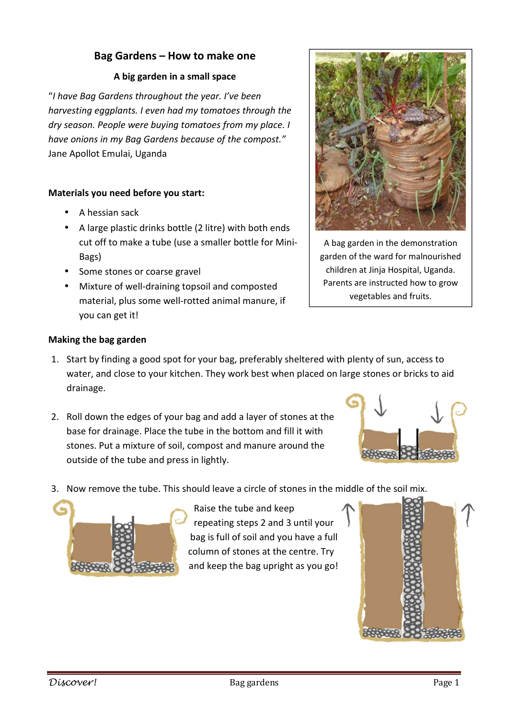## **Bag Gardens – How to make one**

## **A big garden in a small space**

"*I have Bag Gardens throughout the year. I've been harvesting eggplants. I even had my tomatoes through the dry season. People were buying tomatoes from my place. I have onions in my Bag Gardens because of the compost."* Jane Apollot Emulai, Uganda

## **Materials you need before you start:**

- A hessian sack
- A large plastic drinks bottle (2 litre) with both ends cut off to make a tube (use a smaller bottle for Mini-Bags)
- Some stones or coarse gravel
- Mixture of well-draining topsoil and composted material, plus some well-rotted animal manure, if you can get it!



A bag garden in the demonstration garden of the ward for malnourished children at Jinja Hospital, Uganda. Parents are instructed how to grow vegetables and fruits.

## **Making the bag garden**

- 1. Start by finding a good spot for your bag, preferably sheltered with plenty of sun, access to water, and close to your kitchen. They work best when placed on large stones or bricks to aid drainage.
- 2. Roll down the edges of your bag and add a layer of stones at the base for drainage. Place the tube in the bottom and fill it with stones. Put a mixture of soil, compost and manure around the outside of the tube and press in lightly.



3. Now remove the tube. This should leave a circle of stones in the middle of the soil mix.



Raise the tube and keep repeating steps 2 and 3 until your bag is full of soil and you have a full column of stones at the centre. Try and keep the bag upright as you go!